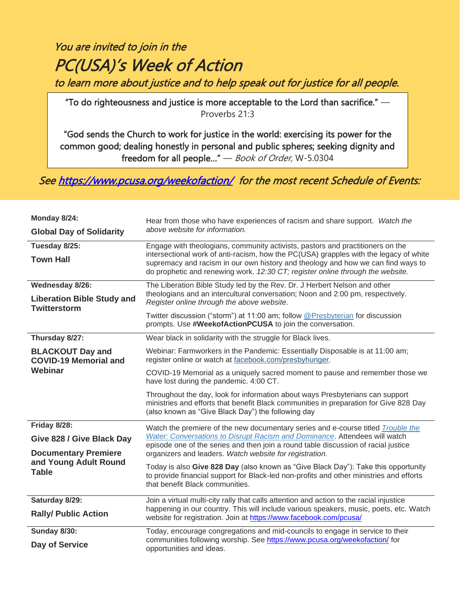# PC(USA)'s Week of Action to learn more about justice and to help speak out for justice for all people. You are invited to join in the

"To do righteousness and justice is more acceptable to the Lord than sacrifice."  $-$ Proverbs 21:3

 "God sends the Church to work for justice in the world: exercising its power for the common good; dealing honestly in personal and public spheres; seeking dignity and freedom for all people..." — *Book of Order,* W-5.0304

Se[e https://www.pcusa.org/weekofaction/](https://www.pcusa.org/weekofaction/) for the most recent Schedule of Events:

| Monday 8/24:<br><b>Global Day of Solidarity</b>                                                                   | Hear from those who have experiences of racism and share support. Watch the<br>above website for information.                                                                                                                                                                                                                                                                                                                                                                                                                       |
|-------------------------------------------------------------------------------------------------------------------|-------------------------------------------------------------------------------------------------------------------------------------------------------------------------------------------------------------------------------------------------------------------------------------------------------------------------------------------------------------------------------------------------------------------------------------------------------------------------------------------------------------------------------------|
| Tuesday 8/25:<br><b>Town Hall</b>                                                                                 | Engage with theologians, community activists, pastors and practitioners on the<br>intersectional work of anti-racism, how the PC(USA) grapples with the legacy of white<br>supremacy and racism in our own history and theology and how we can find ways to<br>do prophetic and renewing work. 12:30 CT; register online through the website.                                                                                                                                                                                       |
| Wednesday 8/26:<br><b>Liberation Bible Study and</b><br><b>Twitterstorm</b>                                       | The Liberation Bible Study led by the Rev. Dr. J Herbert Nelson and other<br>theologians and an intercultural conversation; Noon and 2:00 pm, respectively.<br>Register online through the above website.<br>Twitter discussion ("storm") at 11:00 am; follow @Presbyterian for discussion<br>prompts. Use #WeekofActionPCUSA to join the conversation.                                                                                                                                                                             |
| Thursday 8/27:<br><b>BLACKOUT Day and</b><br><b>COVID-19 Memorial and</b><br>Webinar                              | Wear black in solidarity with the struggle for Black lives.<br>Webinar: Farmworkers in the Pandemic: Essentially Disposable is at 11:00 am;<br>register online or watch at facebook.com/presbyhunger.<br>COVID-19 Memorial as a uniquely sacred moment to pause and remember those we<br>have lost during the pandemic. 4:00 CT.                                                                                                                                                                                                    |
|                                                                                                                   | Throughout the day, look for information about ways Presbyterians can support<br>ministries and efforts that benefit Black communities in preparation for Give 828 Day<br>(also known as "Give Black Day") the following day                                                                                                                                                                                                                                                                                                        |
| Friday 8/28:<br>Give 828 / Give Black Day<br><b>Documentary Premiere</b><br>and Young Adult Round<br><b>Table</b> | Watch the premiere of the new documentary series and e-course titled Trouble the<br>Water: Conversations to Disrupt Racism and Dominance. Attendees will watch<br>episode one of the series and then join a round table discussion of racial justice<br>organizers and leaders. Watch website for registration.<br>Today is also Give 828 Day (also known as "Give Black Day"): Take this opportunity<br>to provide financial support for Black-led non-profits and other ministries and efforts<br>that benefit Black communities. |
| Saturday 8/29:<br><b>Rally/ Public Action</b>                                                                     | Join a virtual multi-city rally that calls attention and action to the racial injustice<br>happening in our country. This will include various speakers, music, poets, etc. Watch<br>website for registration. Join at https://www.facebook.com/pcusa/                                                                                                                                                                                                                                                                              |
| <b>Sunday 8/30:</b><br>Day of Service                                                                             | Today, encourage congregations and mid-councils to engage in service to their<br>communities following worship. See https://www.pcusa.org/weekofaction/ for<br>opportunities and ideas.                                                                                                                                                                                                                                                                                                                                             |